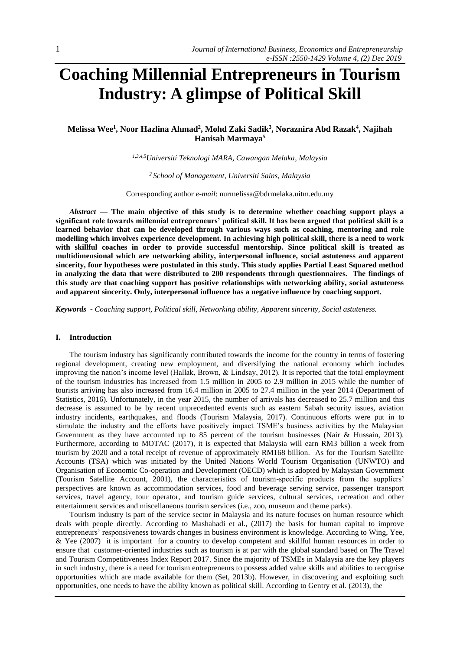# **Coaching Millennial Entrepreneurs in Tourism Industry: A glimpse of Political Skill**

**Melissa Wee<sup>1</sup> , Noor Hazlina Ahmad<sup>2</sup> , Mohd Zaki Sadik<sup>3</sup> , Noraznira Abd Razak<sup>4</sup> , Najihah Hanisah Marmaya<sup>5</sup>**

*1,3,4,5Universiti Teknologi MARA, Cawangan Melaka, Malaysia*

*<sup>2</sup> School of Management, Universiti Sains, Malaysia*

Corresponding author *e-mail*: [nurmelissa@bdrmelaka.uitm.edu.my](mailto:nurmelissa@bdrmelaka.uitm.edu.my)

*Abstract —* **The main objective of this study is to determine whether coaching support plays a significant role towards millennial entrepreneurs' political skill. It has been argued that political skill is a learned behavior that can be developed through various ways such as coaching, mentoring and role modelling which involves experience development. In achieving high political skill, there is a need to work with skillful coaches in order to provide successful mentorship. Since political skill is treated as multidimensional which are networking ability, interpersonal influence, social astuteness and apparent sincerity, four hypotheses were postulated in this study. This study applies Partial Least Squared method in analyzing the data that were distributed to 200 respondents through questionnaires. The findings of this study are that coaching support has positive relationships with networking ability, social astuteness and apparent sincerity. Only, interpersonal influence has a negative influence by coaching support.**

*Keywords - Coaching support, Political skill, Networking ability, Apparent sincerity, Social astuteness.*

### **I. Introduction**

The tourism industry has significantly contributed towards the income for the country in terms of fostering regional development, creating new employment, and diversifying the national economy which includes improving the nation's income level (Hallak, Brown, & Lindsay, 2012). It is reported that the total employment of the tourism industries has increased from 1.5 million in 2005 to 2.9 million in 2015 while the number of tourists arriving has also increased from 16.4 million in 2005 to 27.4 million in the year 2014 (Department of Statistics, 2016). Unfortunately, in the year 2015, the number of arrivals has decreased to 25.7 million and this decrease is assumed to be by recent unprecedented events such as eastern Sabah security issues, aviation industry incidents, earthquakes, and floods (Tourism Malaysia, 2017). Continuous efforts were put in to stimulate the industry and the efforts have positively impact TSME's business activities by the Malaysian Government as they have accounted up to 85 percent of the tourism businesses (Nair & Hussain, 2013). Furthermore, according to MOTAC (2017), it is expected that Malaysia will earn RM3 billion a week from tourism by 2020 and a total receipt of revenue of approximately RM168 billion. As for the Tourism Satellite Accounts (TSA) which was initiated by the United Nations World Tourism Organisation (UNWTO) and Organisation of Economic Co-operation and Development (OECD) which is adopted by Malaysian Government (Tourism Satellite Account, 2001), the characteristics of tourism-specific products from the suppliers' perspectives are known as accommodation services, food and beverage serving service, passenger transport services, travel agency, tour operator, and tourism guide services, cultural services, recreation and other entertainment services and miscellaneous tourism services (i.e., zoo, museum and theme parks).

Tourism industry is part of the service sector in Malaysia and its nature focuses on human resource which deals with people directly. According to Mashahadi et al., (2017) the basis for human capital to improve entrepreneurs' responsiveness towards changes in business environment is knowledge. According to Wing, Yee, & Yee (2007) it is important for a country to develop competent and skillful human resources in order to ensure that customer-oriented industries such as tourism is at par with the global standard based on The Travel and Tourism Competitiveness Index Report 2017. Since the majority of TSMEs in Malaysia are the key players in such industry, there is a need for tourism entrepreneurs to possess added value skills and abilities to recognise opportunities which are made available for them (Set, 2013b). However, in discovering and exploiting such opportunities, one needs to have the ability known as political skill. According to Gentry et al. (2013), the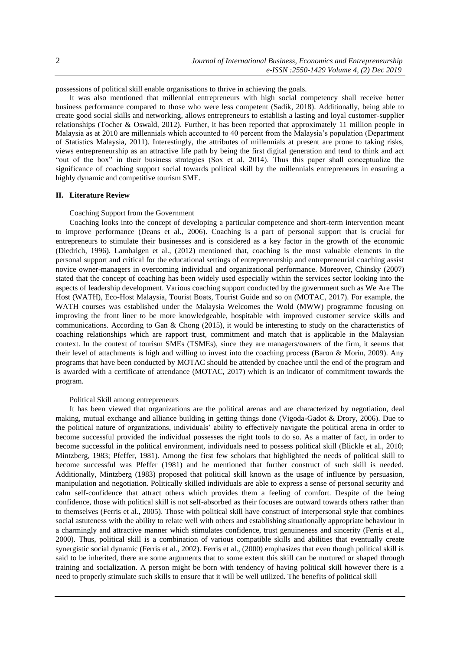possessions of political skill enable organisations to thrive in achieving the goals.

It was also mentioned that millennial entrepreneurs with high social competency shall receive better business performance compared to those who were less competent (Sadik, 2018). Additionally, being able to create good social skills and networking, allows entrepreneurs to establish a lasting and loyal customer-supplier relationships (Tocher & Oswald, 2012). Further, it has been reported that approximately 11 million people in Malaysia as at 2010 are millennials which accounted to 40 percent from the Malaysia's population (Department of Statistics Malaysia, 2011). Interestingly, the attributes of millennials at present are prone to taking risks, views entrepreneurship as an attractive life path by being the first digital generation and tend to think and act "out of the box" in their business strategies (Sox et al, 2014). Thus this paper shall conceptualize the significance of coaching support social towards political skill by the millennials entrepreneurs in ensuring a highly dynamic and competitive tourism SME.

#### **II. Literature Review**

#### Coaching Support from the Government

Coaching looks into the concept of developing a particular competence and short-term intervention meant to improve performance (Deans et al., 2006). Coaching is a part of personal support that is crucial for entrepreneurs to stimulate their businesses and is considered as a key factor in the growth of the economic (Diedrich, 1996). Lambalgen et al., (2012) mentioned that, coaching is the most valuable elements in the personal support and critical for the educational settings of entrepreneurship and entrepreneurial coaching assist novice owner-managers in overcoming individual and organizational performance. Moreover, Chinsky (2007) stated that the concept of coaching has been widely used especially within the services sector looking into the aspects of leadership development. Various coaching support conducted by the government such as We Are The Host (WATH), Eco-Host Malaysia, Tourist Boats, Tourist Guide and so on (MOTAC, 2017). For example, the WATH courses was established under the Malaysia Welcomes the Wold (MWW) programme focusing on improving the front liner to be more knowledgeable, hospitable with improved customer service skills and communications. According to Gan & Chong (2015), it would be interesting to study on the characteristics of coaching relationships which are rapport trust, commitment and match that is applicable in the Malaysian context. In the context of tourism SMEs (TSMEs), since they are managers/owners of the firm, it seems that their level of attachments is high and willing to invest into the coaching process (Baron & Morin, 2009). Any programs that have been conducted by MOTAC should be attended by coachee until the end of the program and is awarded with a certificate of attendance (MOTAC, 2017) which is an indicator of commitment towards the program.

### Political Skill among entrepreneurs

It has been viewed that organizations are the political arenas and are characterized by negotiation, deal making, mutual exchange and alliance building in getting things done (Vigoda-Gadot & Drory, 2006). Due to the political nature of organizations, individuals' ability to effectively navigate the political arena in order to become successful provided the individual possesses the right tools to do so. As a matter of fact, in order to become successful in the political environment, individuals need to possess political skill (Blickle et al., 2010; Mintzberg, 1983; Pfeffer, 1981). Among the first few scholars that highlighted the needs of political skill to become successful was Pfeffer (1981) and he mentioned that further construct of such skill is needed. Additionally, Mintzberg (1983) proposed that political skill known as the usage of influence by persuasion, manipulation and negotiation. Politically skilled individuals are able to express a sense of personal security and calm self-confidence that attract others which provides them a feeling of comfort. Despite of the being confidence, those with political skill is not self-absorbed as their focuses are outward towards others rather than to themselves (Ferris et al., 2005). Those with political skill have construct of interpersonal style that combines social astuteness with the ability to relate well with others and establishing situationally appropriate behaviour in a charmingly and attractive manner which stimulates confidence, trust genuineness and sincerity (Ferris et al., 2000). Thus, political skill is a combination of various compatible skills and abilities that eventually create synergistic social dynamic (Ferris et al., 2002). Ferris et al., (2000) emphasizes that even though political skill is said to be inherited, there are some arguments that to some extent this skill can be nurtured or shaped through training and socialization. A person might be born with tendency of having political skill however there is a need to properly stimulate such skills to ensure that it will be well utilized. The benefits of political skill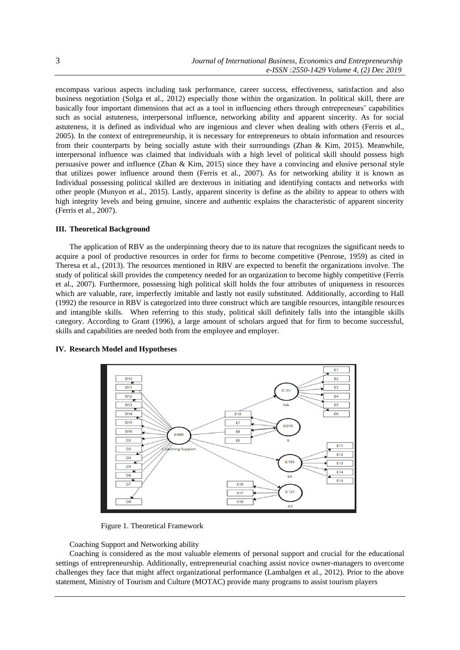encompass various aspects including task performance, career success, effectiveness, satisfaction and also business negotiation (Solga et al., 2012) especially those within the organization. In political skill, there are basically four important dimensions that act as a tool in influencing others through entrepreneurs' capabilities such as social astuteness, interpersonal influence, networking ability and apparent sincerity. As for social astuteness, it is defined as individual who are ingenious and clever when dealing with others (Ferris et al., 2005). In the context of entrepreneurship, it is necessary for entrepreneurs to obtain information and resources from their counterparts by being socially astute with their surroundings (Zhan & Kim, 2015). Meanwhile, interpersonal influence was claimed that individuals with a high level of political skill should possess high persuasive power and influence (Zhan & Kim, 2015) since they have a convincing and elusive personal style that utilizes power influence around them (Ferris et al., 2007). As for networking ability it is known as Individual possessing political skilled are dexterous in initiating and identifying contacts and networks with other people (Munyon et al., 2015). Lastly, apparent sincerity is define as the ability to appear to others with high integrity levels and being genuine, sincere and authentic explains the characteristic of apparent sincerity (Ferris et al., 2007).

## **III. Theoretical Background**

The application of RBV as the underpinning theory due to its nature that recognizes the significant needs to acquire a pool of productive resources in order for firms to become competitive (Penrose, 1959) as cited in Theresa et al., (2013). The resources mentioned in RBV are expected to benefit the organizations involve. The study of political skill provides the competency needed for an organization to become highly competitive (Ferris et al., 2007). Furthermore, possessing high political skill holds the four attributes of uniqueness in resources which are valuable, rare, imperfectly imitable and lastly not easily substituted. Additionally, according to Hall (1992) the resource in RBV is categorized into three construct which are tangible resources, intangible resources and intangible skills. When referring to this study, political skill definitely falls into the intangible skills category. According to Grant (1996), a large amount of scholars argued that for firm to become successful, skills and capabilities are needed both from the employee and employer.

#### **IV. Research Model and Hypotheses**



Figure 1. Theoretical Framework

Coaching Support and Networking ability

Coaching is considered as the most valuable elements of personal support and crucial for the educational settings of entrepreneurship. Additionally, entrepreneurial coaching assist novice owner-managers to overcome challenges they face that might affect organizational performance (Lambalgen et al., 2012). Prior to the above statement, Ministry of Tourism and Culture (MOTAC) provide many programs to assist tourism players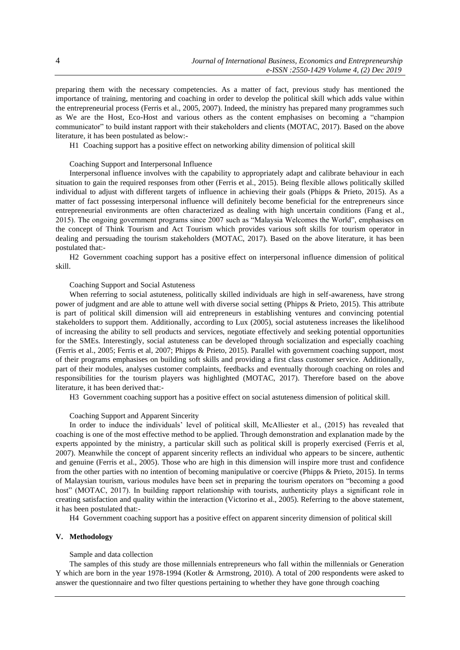preparing them with the necessary competencies. As a matter of fact, previous study has mentioned the importance of training, mentoring and coaching in order to develop the political skill which adds value within the entrepreneurial process (Ferris et al., 2005, 2007). Indeed, the ministry has prepared many programmes such as We are the Host, Eco-Host and various others as the content emphasises on becoming a "champion communicator" to build instant rapport with their stakeholders and clients (MOTAC, 2017). Based on the above literature, it has been postulated as below:-

H1 Coaching support has a positive effect on networking ability dimension of political skill

## Coaching Support and Interpersonal Influence

Interpersonal influence involves with the capability to appropriately adapt and calibrate behaviour in each situation to gain the required responses from other (Ferris et al., 2015). Being flexible allows politically skilled individual to adjust with different targets of influence in achieving their goals (Phipps & Prieto, 2015). As a matter of fact possessing interpersonal influence will definitely become beneficial for the entrepreneurs since entrepreneurial environments are often characterized as dealing with high uncertain conditions (Fang et al., 2015). The ongoing government programs since 2007 such as "Malaysia Welcomes the World", emphasises on the concept of Think Tourism and Act Tourism which provides various soft skills for tourism operator in dealing and persuading the tourism stakeholders (MOTAC, 2017). Based on the above literature, it has been postulated that:-

H2 Government coaching support has a positive effect on interpersonal influence dimension of political skill.

## Coaching Support and Social Astuteness

When referring to social astuteness, politically skilled individuals are high in self-awareness, have strong power of judgment and are able to attune well with diverse social setting (Phipps & Prieto, 2015). This attribute is part of political skill dimension will aid entrepreneurs in establishing ventures and convincing potential stakeholders to support them. Additionally, according to Lux (2005), social astuteness increases the likelihood of increasing the ability to sell products and services, negotiate effectively and seeking potential opportunities for the SMEs. Interestingly, social astuteness can be developed through socialization and especially coaching (Ferris et al., 2005; Ferris et al, 2007; Phipps & Prieto, 2015). Parallel with government coaching support, most of their programs emphasises on building soft skills and providing a first class customer service. Additionally, part of their modules, analyses customer complaints, feedbacks and eventually thorough coaching on roles and responsibilities for the tourism players was highlighted (MOTAC, 2017). Therefore based on the above literature, it has been derived that:-

H3 Government coaching support has a positive effect on social astuteness dimension of political skill.

### Coaching Support and Apparent Sincerity

In order to induce the individuals' level of political skill, McAlliester et al., (2015) has revealed that coaching is one of the most effective method to be applied. Through demonstration and explanation made by the experts appointed by the ministry, a particular skill such as political skill is properly exercised (Ferris et al, 2007). Meanwhile the concept of apparent sincerity reflects an individual who appears to be sincere, authentic and genuine (Ferris et al., 2005). Those who are high in this dimension will inspire more trust and confidence from the other parties with no intention of becoming manipulative or coercive (Phipps & Prieto, 2015). In terms of Malaysian tourism, various modules have been set in preparing the tourism operators on "becoming a good host" (MOTAC, 2017). In building rapport relationship with tourists, authenticity plays a significant role in creating satisfaction and quality within the interaction (Victorino et al., 2005). Referring to the above statement, it has been postulated that:-

H4 Government coaching support has a positive effect on apparent sincerity dimension of political skill

## **V. Methodology**

## Sample and data collection

The samples of this study are those millennials entrepreneurs who fall within the millennials or Generation Y which are born in the year 1978-1994 (Kotler & Armstrong, 2010). A total of 200 respondents were asked to answer the questionnaire and two filter questions pertaining to whether they have gone through coaching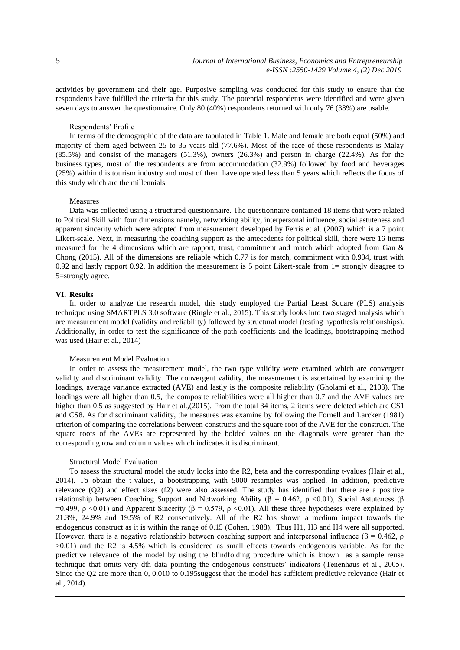activities by government and their age. Purposive sampling was conducted for this study to ensure that the respondents have fulfilled the criteria for this study. The potential respondents were identified and were given seven days to answer the questionnaire. Only 80 (40%) respondents returned with only 76 (38%) are usable.

## Respondents' Profile

In terms of the demographic of the data are tabulated in Table 1. Male and female are both equal (50%) and majority of them aged between 25 to 35 years old (77.6%). Most of the race of these respondents is Malay (85.5%) and consist of the managers (51.3%), owners (26.3%) and person in charge (22.4%). As for the business types, most of the respondents are from accommodation (32.9%) followed by food and beverages (25%) within this tourism industry and most of them have operated less than 5 years which reflects the focus of this study which are the millennials.

## Measures

Data was collected using a structured questionnaire. The questionnaire contained 18 items that were related to Political Skill with four dimensions namely, networking ability, interpersonal influence, social astuteness and apparent sincerity which were adopted from measurement developed by Ferris et al. (2007) which is a 7 point Likert-scale. Next, in measuring the coaching support as the antecedents for political skill, there were 16 items measured for the 4 dimensions which are rapport, trust, commitment and match which adopted from Gan & Chong (2015). All of the dimensions are reliable which 0.77 is for match, commitment with 0.904, trust with 0.92 and lastly rapport 0.92. In addition the measurement is 5 point Likert-scale from 1= strongly disagree to 5=strongly agree.

### **VI. Results**

In order to analyze the research model, this study employed the Partial Least Square (PLS) analysis technique using SMARTPLS 3.0 software (Ringle et al., 2015). This study looks into two staged analysis which are measurement model (validity and reliability) followed by structural model (testing hypothesis relationships). Additionally, in order to test the significance of the path coefficients and the loadings, bootstrapping method was used (Hair et al., 2014)

## Measurement Model Evaluation

In order to assess the measurement model, the two type validity were examined which are convergent validity and discriminant validity. The convergent validity, the measurement is ascertained by examining the loadings, average variance extracted (AVE) and lastly is the composite reliability (Gholami et al., 2103). The loadings were all higher than 0.5, the composite reliabilities were all higher than 0.7 and the AVE values are higher than 0.5 as suggested by Hair et al.,(2015). From the total 34 items, 2 items were deleted which are CS1 and CS8. As for discriminant validity, the measures was examine by following the Fornell and Larcker (1981) criterion of comparing the correlations between constructs and the square root of the AVE for the construct. The square roots of the AVEs are represented by the bolded values on the diagonals were greater than the corresponding row and column values which indicates it is discriminant.

## Structural Model Evaluation

To assess the structural model the study looks into the R2, beta and the corresponding t-values (Hair et al., 2014). To obtain the t-values, a bootstrapping with 5000 resamples was applied. In addition, predictive relevance (Q2) and effect sizes (f2) were also assessed. The study has identified that there are a positive relationship between Coaching Support and Networking Ability (β = 0.462, ρ <0.01), Social Astuteness (β =0.499, ρ <0.01) and Apparent Sincerity (β = 0.579, ρ <0.01). All these three hypotheses were explained by 21.3%, 24.9% and 19.5% of R2 consecutively. All of the R2 has shown a medium impact towards the endogenous construct as it is within the range of 0.15 (Cohen, 1988). Thus H1, H3 and H4 were all supported. However, there is a negative relationship between coaching support and interpersonal influence ( $\beta$  = 0.462,  $\rho$ ) >0.01) and the R2 is 4.5% which is considered as small effects towards endogenous variable. As for the predictive relevance of the model by using the blindfolding procedure which is known as a sample reuse technique that omits very dth data pointing the endogenous constructs' indicators (Tenenhaus et al., 2005). Since the Q2 are more than 0, 0.010 to 0.195suggest that the model has sufficient predictive relevance (Hair et al., 2014).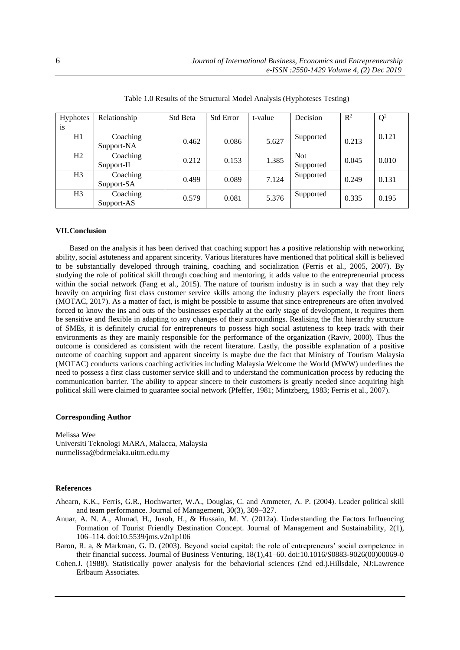| <b>Hyphotes</b> | Relationship | <b>Std Beta</b> | <b>Std Error</b> | t-value | Decision   | $R^2$ | $Q^2$ |
|-----------------|--------------|-----------------|------------------|---------|------------|-------|-------|
| <sup>is</sup>   |              |                 |                  |         |            |       |       |
| H1              | Coaching     | 0.462           | 0.086            | 5.627   | Supported  | 0.213 | 0.121 |
|                 | Support-NA   |                 |                  |         |            |       |       |
| H2              | Coaching     | 0.212           | 0.153            | 1.385   | <b>Not</b> | 0.045 | 0.010 |
|                 | Support-II   |                 |                  |         | Supported  |       |       |
| H <sub>3</sub>  | Coaching     | 0.499           | 0.089            | 7.124   | Supported  | 0.249 | 0.131 |
|                 | Support-SA   |                 |                  |         |            |       |       |
| H <sub>3</sub>  | Coaching     | 0.579           | 0.081            | 5.376   | Supported  | 0.335 | 0.195 |
|                 | Support-AS   |                 |                  |         |            |       |       |

Table 1.0 Results of the Structural Model Analysis (Hyphoteses Testing)

## **VII.Conclusion**

Based on the analysis it has been derived that coaching support has a positive relationship with networking ability, social astuteness and apparent sincerity. Various literatures have mentioned that political skill is believed to be substantially developed through training, coaching and socialization (Ferris et al., 2005, 2007). By studying the role of political skill through coaching and mentoring, it adds value to the entrepreneurial process within the social network (Fang et al., 2015). The nature of tourism industry is in such a way that they rely heavily on acquiring first class customer service skills among the industry players especially the front liners (MOTAC, 2017). As a matter of fact, is might be possible to assume that since entrepreneurs are often involved forced to know the ins and outs of the businesses especially at the early stage of development, it requires them be sensitive and flexible in adapting to any changes of their surroundings. Realising the flat hierarchy structure of SMEs, it is definitely crucial for entrepreneurs to possess high social astuteness to keep track with their environments as they are mainly responsible for the performance of the organization (Raviv, 2000). Thus the outcome is considered as consistent with the recent literature. Lastly, the possible explanation of a positive outcome of coaching support and apparent sinceirty is maybe due the fact that Ministry of Tourism Malaysia (MOTAC) conducts various coaching activities including Malaysia Welcome the World (MWW) underlines the need to possess a first class customer service skill and to understand the communication process by reducing the communication barrier. The ability to appear sincere to their customers is greatly needed since acquiring high political skill were claimed to guarantee social network (Pfeffer, 1981; Mintzberg, 1983; Ferris et al., 2007).

## **Corresponding Author**

Melissa Wee Universiti Teknologi MARA, Malacca, Malaysia nurmelissa@bdrmelaka.uitm.edu.my

## **References**

Ahearn, K.K., Ferris, G.R., Hochwarter, W.A., Douglas, C. and Ammeter, A. P. (2004). Leader political skill and team performance. Journal of Management, 30(3), 309–327.

- Anuar, A. N. A., Ahmad, H., Jusoh, H., & Hussain, M. Y. (2012a). Understanding the Factors Influencing Formation of Tourist Friendly Destination Concept. Journal of Management and Sustainability, 2(1), 106–114. doi:10.5539/jms.v2n1p106
- Baron, R. a, & Markman, G. D. (2003). Beyond social capital: the role of entrepreneurs' social competence in their financial success. Journal of Business Venturing, 18(1),41–60. doi:10.1016/S0883-9026(00)00069-0
- Cohen.J. (1988). Statistically power analysis for the behaviorial sciences (2nd ed.).Hillsdale, NJ:Lawrence Erlbaum Associates.